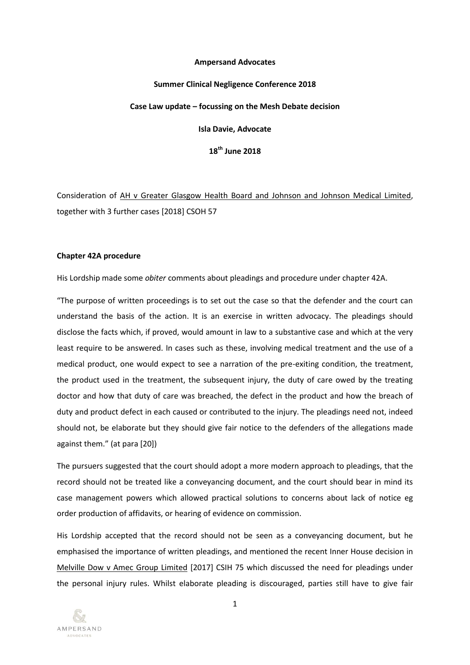# **Ampersand Advocates**

# **Summer Clinical Negligence Conference 2018 Case Law update – focussing on the Mesh Debate decision Isla Davie, Advocate 18th June 2018**

Consideration of AH v Greater Glasgow Health Board and Johnson and Johnson Medical Limited, together with 3 further cases [2018] CSOH 57

# **Chapter 42A procedure**

His Lordship made some *obiter* comments about pleadings and procedure under chapter 42A.

"The purpose of written proceedings is to set out the case so that the defender and the court can understand the basis of the action. It is an exercise in written advocacy. The pleadings should disclose the facts which, if proved, would amount in law to a substantive case and which at the very least require to be answered. In cases such as these, involving medical treatment and the use of a medical product, one would expect to see a narration of the pre-exiting condition, the treatment, the product used in the treatment, the subsequent injury, the duty of care owed by the treating doctor and how that duty of care was breached, the defect in the product and how the breach of duty and product defect in each caused or contributed to the injury. The pleadings need not, indeed should not, be elaborate but they should give fair notice to the defenders of the allegations made against them." (at para [20])

The pursuers suggested that the court should adopt a more modern approach to pleadings, that the record should not be treated like a conveyancing document, and the court should bear in mind its case management powers which allowed practical solutions to concerns about lack of notice eg order production of affidavits, or hearing of evidence on commission.

His Lordship accepted that the record should not be seen as a conveyancing document, but he emphasised the importance of written pleadings, and mentioned the recent Inner House decision in Melville Dow v Amec Group Limited [2017] CSIH 75 which discussed the need for pleadings under the personal injury rules. Whilst elaborate pleading is discouraged, parties still have to give fair

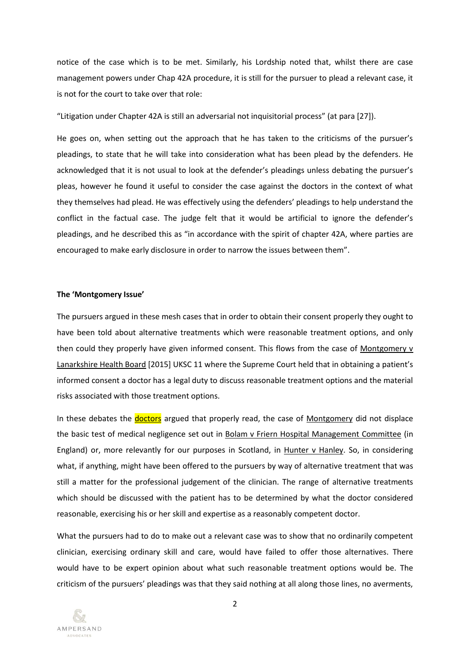notice of the case which is to be met. Similarly, his Lordship noted that, whilst there are case management powers under Chap 42A procedure, it is still for the pursuer to plead a relevant case, it is not for the court to take over that role:

"Litigation under Chapter 42A is still an adversarial not inquisitorial process" (at para [27]).

He goes on, when setting out the approach that he has taken to the criticisms of the pursuer's pleadings, to state that he will take into consideration what has been plead by the defenders. He acknowledged that it is not usual to look at the defender's pleadings unless debating the pursuer's pleas, however he found it useful to consider the case against the doctors in the context of what they themselves had plead. He was effectively using the defenders' pleadings to help understand the conflict in the factual case. The judge felt that it would be artificial to ignore the defender's pleadings, and he described this as "in accordance with the spirit of chapter 42A, where parties are encouraged to make early disclosure in order to narrow the issues between them".

#### **The 'Montgomery Issue'**

The pursuers argued in these mesh cases that in order to obtain their consent properly they ought to have been told about alternative treatments which were reasonable treatment options, and only then could they properly have given informed consent. This flows from the case of Montgomery  $\bf{v}$ Lanarkshire Health Board [2015] UKSC 11 where the Supreme Court held that in obtaining a patient's informed consent a doctor has a legal duty to discuss reasonable treatment options and the material risks associated with those treatment options.

In these debates the **doctors** argued that properly read, the case of Montgomery did not displace the basic test of medical negligence set out in Bolam v Friern Hospital Management Committee (in England) or, more relevantly for our purposes in Scotland, in Hunter v Hanley. So, in considering what, if anything, might have been offered to the pursuers by way of alternative treatment that was still a matter for the professional judgement of the clinician. The range of alternative treatments which should be discussed with the patient has to be determined by what the doctor considered reasonable, exercising his or her skill and expertise as a reasonably competent doctor.

What the pursuers had to do to make out a relevant case was to show that no ordinarily competent clinician, exercising ordinary skill and care, would have failed to offer those alternatives. There would have to be expert opinion about what such reasonable treatment options would be. The criticism of the pursuers' pleadings was that they said nothing at all along those lines, no averments,

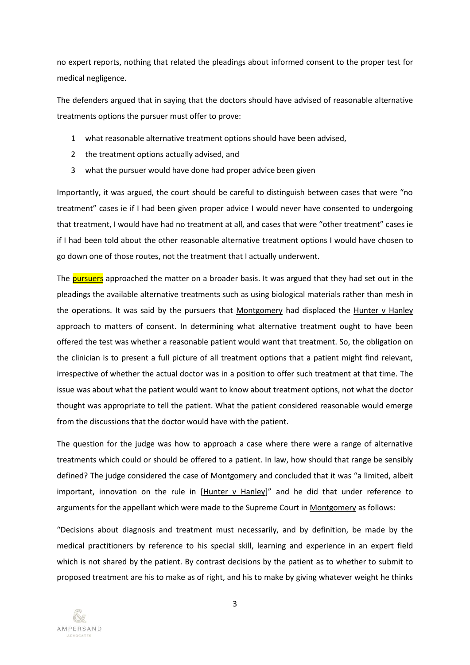no expert reports, nothing that related the pleadings about informed consent to the proper test for medical negligence.

The defenders argued that in saying that the doctors should have advised of reasonable alternative treatments options the pursuer must offer to prove:

- 1 what reasonable alternative treatment options should have been advised,
- 2 the treatment options actually advised, and
- 3 what the pursuer would have done had proper advice been given

Importantly, it was argued, the court should be careful to distinguish between cases that were "no treatment" cases ie if I had been given proper advice I would never have consented to undergoing that treatment, I would have had no treatment at all, and cases that were "other treatment" cases ie if I had been told about the other reasonable alternative treatment options I would have chosen to go down one of those routes, not the treatment that I actually underwent.

The pursuers approached the matter on a broader basis. It was argued that they had set out in the pleadings the available alternative treatments such as using biological materials rather than mesh in the operations. It was said by the pursuers that Montgomery had displaced the Hunter v Hanley approach to matters of consent. In determining what alternative treatment ought to have been offered the test was whether a reasonable patient would want that treatment. So, the obligation on the clinician is to present a full picture of all treatment options that a patient might find relevant, irrespective of whether the actual doctor was in a position to offer such treatment at that time. The issue was about what the patient would want to know about treatment options, not what the doctor thought was appropriate to tell the patient. What the patient considered reasonable would emerge from the discussions that the doctor would have with the patient.

The question for the judge was how to approach a case where there were a range of alternative treatments which could or should be offered to a patient. In law, how should that range be sensibly defined? The judge considered the case of Montgomery and concluded that it was "a limited, albeit important, innovation on the rule in [Hunter v Hanley]" and he did that under reference to arguments for the appellant which were made to the Supreme Court in Montgomery as follows:

"Decisions about diagnosis and treatment must necessarily, and by definition, be made by the medical practitioners by reference to his special skill, learning and experience in an expert field which is not shared by the patient. By contrast decisions by the patient as to whether to submit to proposed treatment are his to make as of right, and his to make by giving whatever weight he thinks

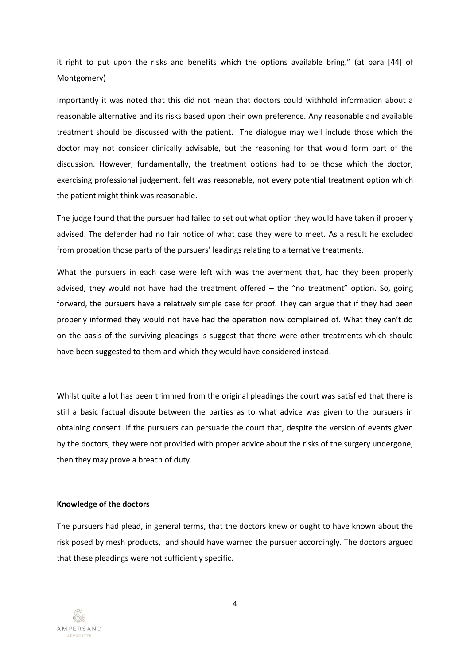it right to put upon the risks and benefits which the options available bring." (at para [44] of Montgomery)

Importantly it was noted that this did not mean that doctors could withhold information about a reasonable alternative and its risks based upon their own preference. Any reasonable and available treatment should be discussed with the patient. The dialogue may well include those which the doctor may not consider clinically advisable, but the reasoning for that would form part of the discussion. However, fundamentally, the treatment options had to be those which the doctor, exercising professional judgement, felt was reasonable, not every potential treatment option which the patient might think was reasonable.

The judge found that the pursuer had failed to set out what option they would have taken if properly advised. The defender had no fair notice of what case they were to meet. As a result he excluded from probation those parts of the pursuers' leadings relating to alternative treatments.

What the pursuers in each case were left with was the averment that, had they been properly advised, they would not have had the treatment offered  $-$  the "no treatment" option. So, going forward, the pursuers have a relatively simple case for proof. They can argue that if they had been properly informed they would not have had the operation now complained of. What they can't do on the basis of the surviving pleadings is suggest that there were other treatments which should have been suggested to them and which they would have considered instead.

Whilst quite a lot has been trimmed from the original pleadings the court was satisfied that there is still a basic factual dispute between the parties as to what advice was given to the pursuers in obtaining consent. If the pursuers can persuade the court that, despite the version of events given by the doctors, they were not provided with proper advice about the risks of the surgery undergone, then they may prove a breach of duty.

# **Knowledge of the doctors**

The pursuers had plead, in general terms, that the doctors knew or ought to have known about the risk posed by mesh products, and should have warned the pursuer accordingly. The doctors argued that these pleadings were not sufficiently specific.

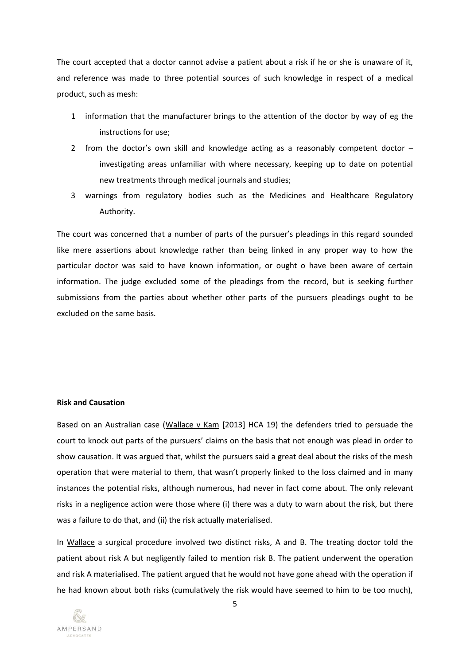The court accepted that a doctor cannot advise a patient about a risk if he or she is unaware of it, and reference was made to three potential sources of such knowledge in respect of a medical product, such as mesh:

- 1 information that the manufacturer brings to the attention of the doctor by way of eg the instructions for use;
- 2 from the doctor's own skill and knowledge acting as a reasonably competent doctor investigating areas unfamiliar with where necessary, keeping up to date on potential new treatments through medical journals and studies;
- 3 warnings from regulatory bodies such as the Medicines and Healthcare Regulatory Authority.

The court was concerned that a number of parts of the pursuer's pleadings in this regard sounded like mere assertions about knowledge rather than being linked in any proper way to how the particular doctor was said to have known information, or ought o have been aware of certain information. The judge excluded some of the pleadings from the record, but is seeking further submissions from the parties about whether other parts of the pursuers pleadings ought to be excluded on the same basis.

# **Risk and Causation**

Based on an Australian case (Wallace v Kam [2013] HCA 19) the defenders tried to persuade the court to knock out parts of the pursuers' claims on the basis that not enough was plead in order to show causation. It was argued that, whilst the pursuers said a great deal about the risks of the mesh operation that were material to them, that wasn't properly linked to the loss claimed and in many instances the potential risks, although numerous, had never in fact come about. The only relevant risks in a negligence action were those where (i) there was a duty to warn about the risk, but there was a failure to do that, and (ii) the risk actually materialised.

In Wallace a surgical procedure involved two distinct risks, A and B. The treating doctor told the patient about risk A but negligently failed to mention risk B. The patient underwent the operation and risk A materialised. The patient argued that he would not have gone ahead with the operation if he had known about both risks (cumulatively the risk would have seemed to him to be too much),

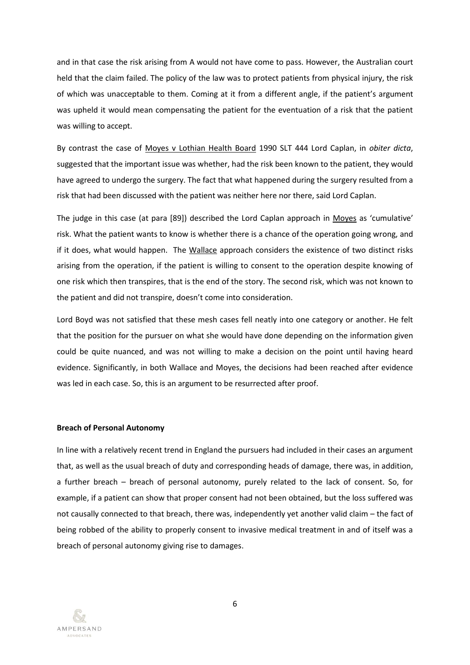and in that case the risk arising from A would not have come to pass. However, the Australian court held that the claim failed. The policy of the law was to protect patients from physical injury, the risk of which was unacceptable to them. Coming at it from a different angle, if the patient's argument was upheld it would mean compensating the patient for the eventuation of a risk that the patient was willing to accept.

By contrast the case of Moyes v Lothian Health Board 1990 SLT 444 Lord Caplan, in *obiter dicta*, suggested that the important issue was whether, had the risk been known to the patient, they would have agreed to undergo the surgery. The fact that what happened during the surgery resulted from a risk that had been discussed with the patient was neither here nor there, said Lord Caplan.

The judge in this case (at para [89]) described the Lord Caplan approach in Moyes as 'cumulative' risk. What the patient wants to know is whether there is a chance of the operation going wrong, and if it does, what would happen. The Wallace approach considers the existence of two distinct risks arising from the operation, if the patient is willing to consent to the operation despite knowing of one risk which then transpires, that is the end of the story. The second risk, which was not known to the patient and did not transpire, doesn't come into consideration.

Lord Boyd was not satisfied that these mesh cases fell neatly into one category or another. He felt that the position for the pursuer on what she would have done depending on the information given could be quite nuanced, and was not willing to make a decision on the point until having heard evidence. Significantly, in both Wallace and Moyes, the decisions had been reached after evidence was led in each case. So, this is an argument to be resurrected after proof.

## **Breach of Personal Autonomy**

In line with a relatively recent trend in England the pursuers had included in their cases an argument that, as well as the usual breach of duty and corresponding heads of damage, there was, in addition, a further breach – breach of personal autonomy, purely related to the lack of consent. So, for example, if a patient can show that proper consent had not been obtained, but the loss suffered was not causally connected to that breach, there was, independently yet another valid claim – the fact of being robbed of the ability to properly consent to invasive medical treatment in and of itself was a breach of personal autonomy giving rise to damages.

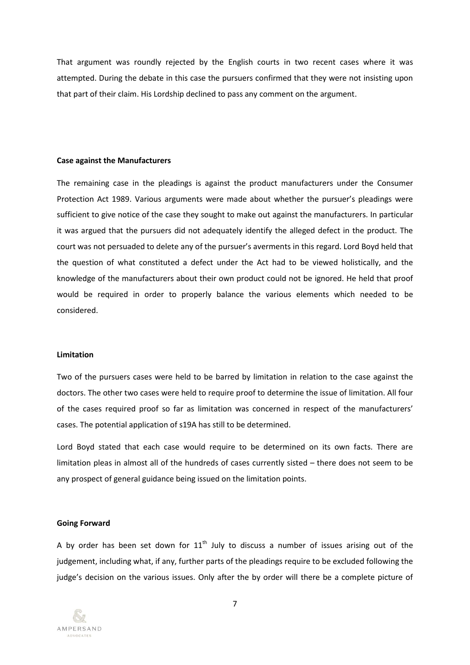That argument was roundly rejected by the English courts in two recent cases where it was attempted. During the debate in this case the pursuers confirmed that they were not insisting upon that part of their claim. His Lordship declined to pass any comment on the argument.

# **Case against the Manufacturers**

The remaining case in the pleadings is against the product manufacturers under the Consumer Protection Act 1989. Various arguments were made about whether the pursuer's pleadings were sufficient to give notice of the case they sought to make out against the manufacturers. In particular it was argued that the pursuers did not adequately identify the alleged defect in the product. The court was not persuaded to delete any of the pursuer's averments in this regard. Lord Boyd held that the question of what constituted a defect under the Act had to be viewed holistically, and the knowledge of the manufacturers about their own product could not be ignored. He held that proof would be required in order to properly balance the various elements which needed to be considered.

## **Limitation**

Two of the pursuers cases were held to be barred by limitation in relation to the case against the doctors. The other two cases were held to require proof to determine the issue of limitation. All four of the cases required proof so far as limitation was concerned in respect of the manufacturers' cases. The potential application of s19A has still to be determined.

Lord Boyd stated that each case would require to be determined on its own facts. There are limitation pleas in almost all of the hundreds of cases currently sisted – there does not seem to be any prospect of general guidance being issued on the limitation points.

## **Going Forward**

A by order has been set down for  $11<sup>th</sup>$  July to discuss a number of issues arising out of the judgement, including what, if any, further parts of the pleadings require to be excluded following the judge's decision on the various issues. Only after the by order will there be a complete picture of